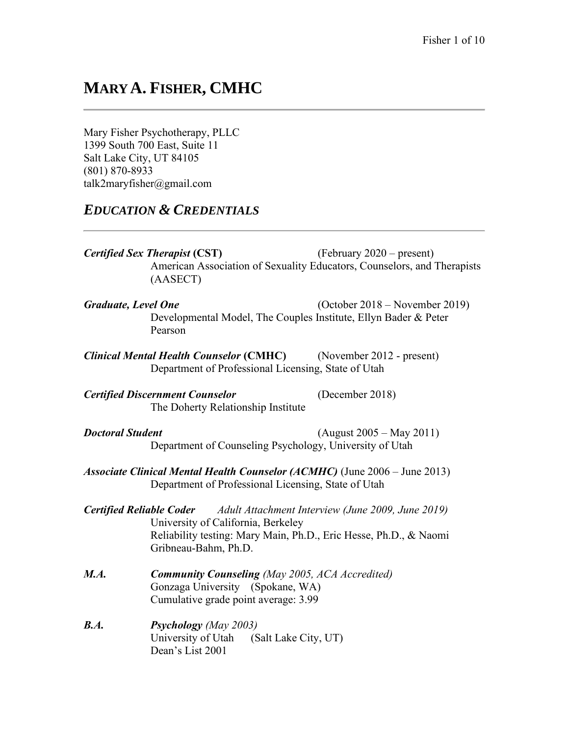# **MARY A. FISHER, CMHC**

Mary Fisher Psychotherapy, PLLC 1399 South 700 East, Suite 11 Salt Lake City, UT 84105 (801) 870-8933 talk2maryfisher@gmail.com

# *EDUCATION & CREDENTIALS*

*Certified Sex Therapist* **(CST)** (February 2020 – present) American Association of Sexuality Educators, Counselors, and Therapists (AASECT)

- *Graduate, Level One* (October 2018 November 2019) Developmental Model, The Couples Institute, Ellyn Bader & Peter Pearson
- *Clinical Mental Health Counselor* **(CMHC)** (November 2012 present) Department of Professional Licensing, State of Utah

*Certified Discernment Counselor* (December 2018) The Doherty Relationship Institute

- *Doctoral Student* (August 2005 May 2011) Department of Counseling Psychology, University of Utah
- *Associate Clinical Mental Health Counselor (ACMHC)* (June 2006 June 2013) Department of Professional Licensing, State of Utah
- *Certified Reliable Coder Adult Attachment Interview (June 2009, June 2019)* University of California, Berkeley Reliability testing: Mary Main, Ph.D., Eric Hesse, Ph.D., & Naomi Gribneau-Bahm, Ph.D.
- *M.A. Community Counseling (May 2005, ACA Accredited)* Gonzaga University (Spokane, WA) Cumulative grade point average: 3.99
- *B.A. Psychology (May 2003)* University of Utah (Salt Lake City, UT) Dean's List 2001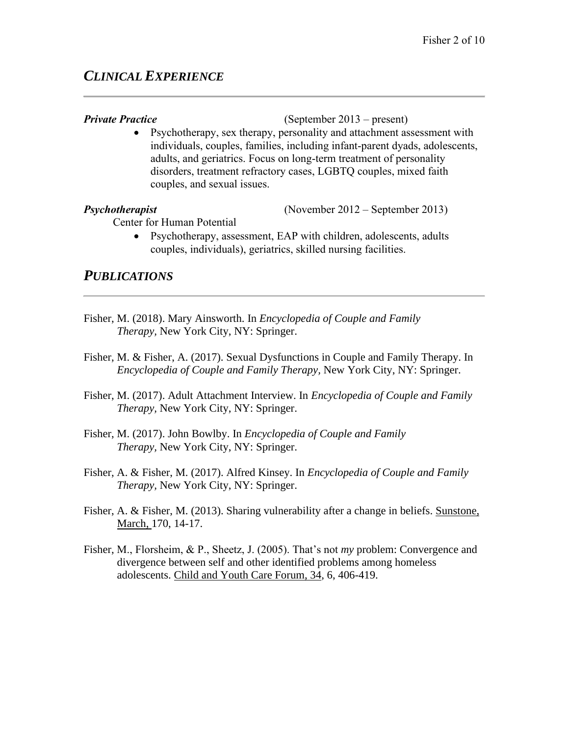# *CLINICAL EXPERIENCE*

#### *Private Practice* (September 2013 – present)

• Psychotherapy, sex therapy, personality and attachment assessment with individuals, couples, families, including infant-parent dyads, adolescents, adults, and geriatrics. Focus on long-term treatment of personality disorders, treatment refractory cases, LGBTQ couples, mixed faith couples, and sexual issues.

*Psychotherapist* (November 2012 – September 2013)

Center for Human Potential

• Psychotherapy, assessment, EAP with children, adolescents, adults couples, individuals), geriatrics, skilled nursing facilities.

### *PUBLICATIONS*

- Fisher, M. (2018). Mary Ainsworth. In *Encyclopedia of Couple and Family Therapy,* New York City, NY: Springer.
- Fisher, M. & Fisher, A. (2017). Sexual Dysfunctions in Couple and Family Therapy. In *Encyclopedia of Couple and Family Therapy,* New York City, NY: Springer.
- Fisher, M. (2017). Adult Attachment Interview. In *Encyclopedia of Couple and Family Therapy,* New York City, NY: Springer.
- Fisher, M. (2017). John Bowlby. In *Encyclopedia of Couple and Family Therapy,* New York City, NY: Springer.
- Fisher, A. & Fisher, M. (2017). Alfred Kinsey. In *Encyclopedia of Couple and Family Therapy,* New York City, NY: Springer.
- Fisher, A. & Fisher, M. (2013). Sharing vulnerability after a change in beliefs. Sunstone, March, 170, 14-17.
- Fisher, M., Florsheim, & P., Sheetz, J. (2005). That's not *my* problem: Convergence and divergence between self and other identified problems among homeless adolescents. Child and Youth Care Forum, 34, 6, 406-419.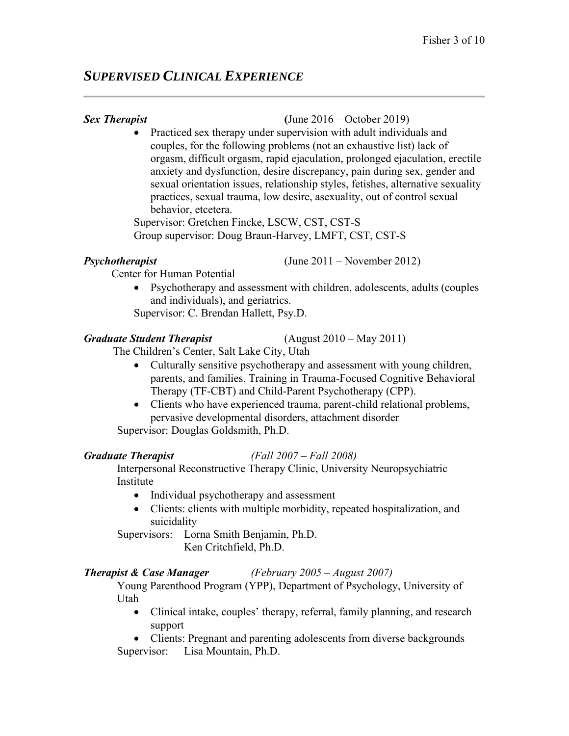# *SUPERVISED CLINICAL EXPERIENCE*

### *Sex Therapist* **(**June 2016 – October 2019)

• Practiced sex therapy under supervision with adult individuals and couples, for the following problems (not an exhaustive list) lack of orgasm, difficult orgasm, rapid ejaculation, prolonged ejaculation, erectile anxiety and dysfunction, desire discrepancy, pain during sex, gender and sexual orientation issues, relationship styles, fetishes, alternative sexuality practices, sexual trauma, low desire, asexuality, out of control sexual behavior, etcetera.

Supervisor: Gretchen Fincke, LSCW, CST, CST-S Group supervisor: Doug Braun-Harvey, LMFT, CST, CST-S

*Psychotherapist* (June 2011 – November 2012)

**Center for Human Potential** 

• Psychotherapy and assessment with children, adolescents, adults (couples and individuals), and geriatrics.

Supervisor: C. Brendan Hallett, Psy.D.

# *Graduate Student Therapist* (August 2010 – May 2011)

The Children's Center, Salt Lake City, Utah

- Culturally sensitive psychotherapy and assessment with young children, parents, and families. Training in Trauma-Focused Cognitive Behavioral Therapy (TF-CBT) and Child-Parent Psychotherapy (CPP).
- Clients who have experienced trauma, parent-child relational problems, pervasive developmental disorders, attachment disorder

Supervisor: Douglas Goldsmith, Ph.D.

# *Graduate Therapist (Fall 2007 – Fall 2008)*

Interpersonal Reconstructive Therapy Clinic, University Neuropsychiatric Institute

- Individual psychotherapy and assessment
- Clients: clients with multiple morbidity, repeated hospitalization, and suicidality

Supervisors: Lorna Smith Benjamin, Ph.D. Ken Critchfield, Ph.D.

# *Therapist & Case Manager (February 2005 – August 2007)*

Young Parenthood Program (YPP), Department of Psychology, University of Utah

• Clinical intake, couples' therapy, referral, family planning, and research support

• Clients: Pregnant and parenting adolescents from diverse backgrounds Supervisor: Lisa Mountain, Ph.D.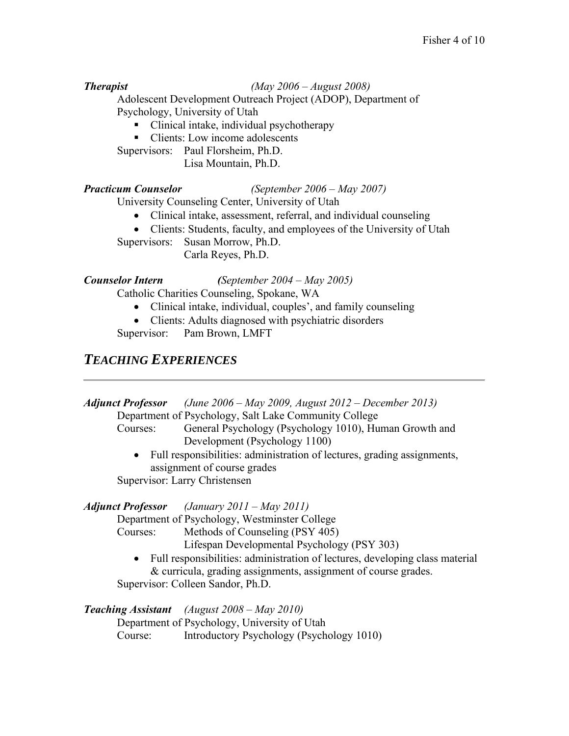#### *Therapist (May 2006 – August 2008)*

Adolescent Development Outreach Project (ADOP), Department of Psychology, University of Utah

- Clinical intake, individual psychotherapy
- Clients: Low income adolescents

Supervisors: Paul Florsheim, Ph.D.

Lisa Mountain, Ph.D.

*Practicum Counselor (September 2006 – May 2007)*

University Counseling Center, University of Utah

- Clinical intake, assessment, referral, and individual counseling
- Clients: Students, faculty, and employees of the University of Utah Supervisors: Susan Morrow, Ph.D.

Carla Reyes, Ph.D.

#### *Counselor Intern (September 2004 – May 2005)*

Catholic Charities Counseling, Spokane, WA

- Clinical intake, individual, couples', and family counseling
- Clients: Adults diagnosed with psychiatric disorders

Supervisor: Pam Brown, LMFT

# *TEACHING EXPERIENCES*

*Adjunct Professor (June 2006 – May 2009, August 2012 – December 2013)* Department of Psychology, Salt Lake Community College

- Courses: General Psychology (Psychology 1010), Human Growth and Development (Psychology 1100)
- Full responsibilities: administration of lectures, grading assignments, assignment of course grades Supervisor: Larry Christensen

### *Adjunct Professor (January 2011 – May 2011)*

Department of Psychology, Westminster College

Courses: Methods of Counseling (PSY 405)

Lifespan Developmental Psychology (PSY 303)

• Full responsibilities: administration of lectures, developing class material & curricula, grading assignments, assignment of course grades.

Supervisor: Colleen Sandor, Ph.D.

### *Teaching Assistant (August 2008 – May 2010)*

Department of Psychology, University of Utah Course: Introductory Psychology (Psychology 1010)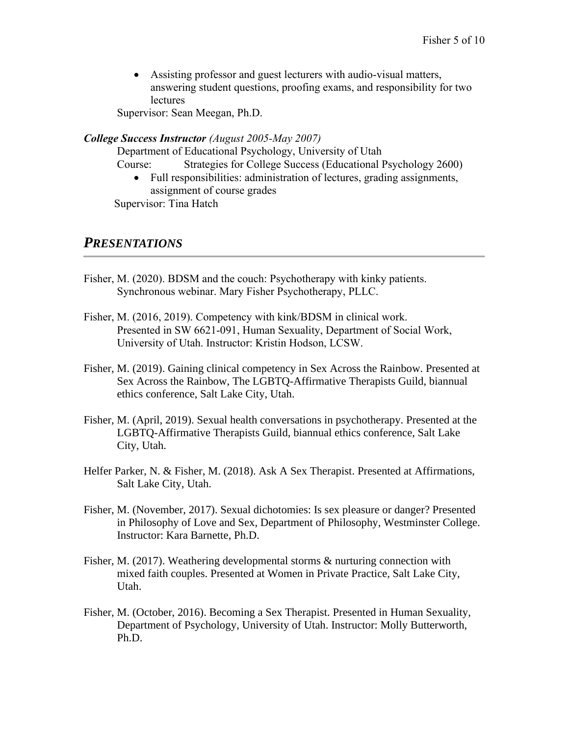• Assisting professor and guest lecturers with audio-visual matters, answering student questions, proofing exams, and responsibility for two **lectures** 

Supervisor: Sean Meegan, Ph.D.

#### *College Success Instructor (August 2005-May 2007)*

Department of Educational Psychology, University of Utah

Course: Strategies for College Success (Educational Psychology 2600)

• Full responsibilities: administration of lectures, grading assignments, assignment of course grades

Supervisor: Tina Hatch

# *PRESENTATIONS*

- Fisher, M. (2020). BDSM and the couch: Psychotherapy with kinky patients. Synchronous webinar. Mary Fisher Psychotherapy, PLLC.
- Fisher, M. (2016, 2019). Competency with kink/BDSM in clinical work. Presented in SW 6621-091, Human Sexuality, Department of Social Work, University of Utah. Instructor: Kristin Hodson, LCSW.
- Fisher, M. (2019). Gaining clinical competency in Sex Across the Rainbow. Presented at Sex Across the Rainbow, The LGBTQ-Affirmative Therapists Guild, biannual ethics conference, Salt Lake City, Utah.
- Fisher, M. (April, 2019). Sexual health conversations in psychotherapy. Presented at the LGBTQ-Affirmative Therapists Guild, biannual ethics conference, Salt Lake City, Utah.
- Helfer Parker, N. & Fisher, M. (2018). Ask A Sex Therapist. Presented at Affirmations, Salt Lake City, Utah.
- Fisher, M. (November, 2017). Sexual dichotomies: Is sex pleasure or danger? Presented in Philosophy of Love and Sex, Department of Philosophy, Westminster College. Instructor: Kara Barnette, Ph.D.
- Fisher, M. (2017). Weathering developmental storms & nurturing connection with mixed faith couples. Presented at Women in Private Practice, Salt Lake City, Utah.
- Fisher, M. (October, 2016). Becoming a Sex Therapist. Presented in Human Sexuality, Department of Psychology, University of Utah. Instructor: Molly Butterworth, Ph.D.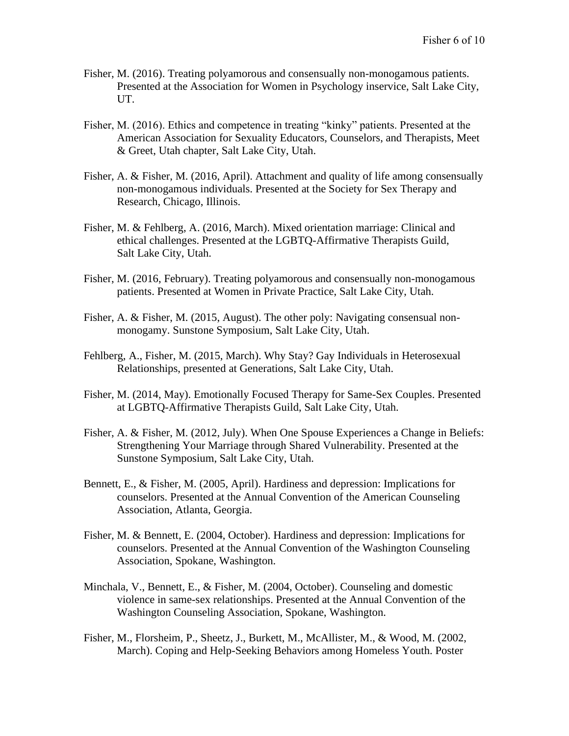- Fisher, M. (2016). Treating polyamorous and consensually non-monogamous patients. Presented at the Association for Women in Psychology inservice, Salt Lake City, UT.
- Fisher, M. (2016). Ethics and competence in treating "kinky" patients. Presented at the American Association for Sexuality Educators, Counselors, and Therapists, Meet & Greet, Utah chapter, Salt Lake City, Utah.
- Fisher, A. & Fisher, M. (2016, April). Attachment and quality of life among consensually non-monogamous individuals. Presented at the Society for Sex Therapy and Research, Chicago, Illinois.
- Fisher, M. & Fehlberg, A. (2016, March). Mixed orientation marriage: Clinical and ethical challenges. Presented at the LGBTQ-Affirmative Therapists Guild, Salt Lake City, Utah.
- Fisher, M. (2016, February). Treating polyamorous and consensually non-monogamous patients. Presented at Women in Private Practice, Salt Lake City, Utah.
- Fisher, A. & Fisher, M. (2015, August). The other poly: Navigating consensual nonmonogamy. Sunstone Symposium, Salt Lake City, Utah.
- Fehlberg, A., Fisher, M. (2015, March). Why Stay? Gay Individuals in Heterosexual Relationships, presented at Generations, Salt Lake City, Utah.
- Fisher, M. (2014, May). Emotionally Focused Therapy for Same-Sex Couples. Presented at LGBTQ-Affirmative Therapists Guild, Salt Lake City, Utah.
- Fisher, A. & Fisher, M. (2012, July). When One Spouse Experiences a Change in Beliefs: Strengthening Your Marriage through Shared Vulnerability. Presented at the Sunstone Symposium, Salt Lake City, Utah.
- Bennett, E., & Fisher, M. (2005, April). Hardiness and depression: Implications for counselors. Presented at the Annual Convention of the American Counseling Association, Atlanta, Georgia.
- Fisher, M. & Bennett, E. (2004, October). Hardiness and depression: Implications for counselors. Presented at the Annual Convention of the Washington Counseling Association, Spokane, Washington.
- Minchala, V., Bennett, E., & Fisher, M. (2004, October). Counseling and domestic violence in same-sex relationships. Presented at the Annual Convention of the Washington Counseling Association, Spokane, Washington.
- Fisher, M., Florsheim, P., Sheetz, J., Burkett, M., McAllister, M., & Wood, M. (2002, March). Coping and Help-Seeking Behaviors among Homeless Youth. Poster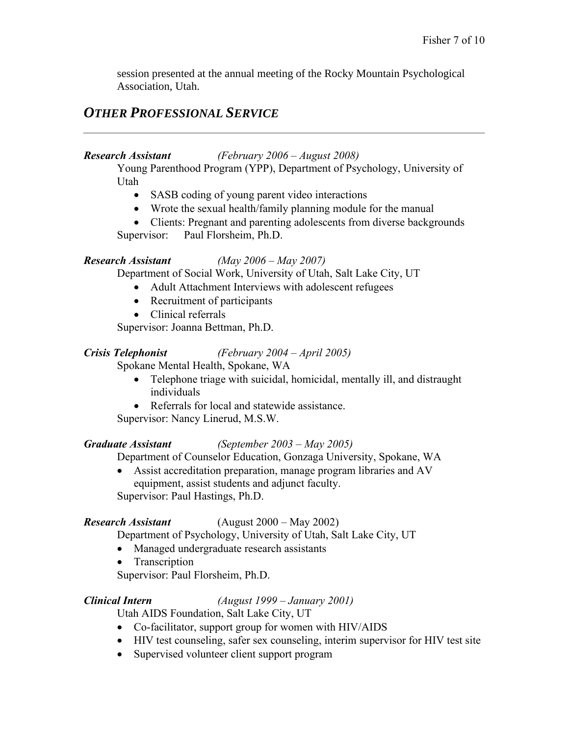session presented at the annual meeting of the Rocky Mountain Psychological Association, Utah.

# *OTHER PROFESSIONAL SERVICE*

### *Research Assistant (February 2006 – August 2008)*

Young Parenthood Program (YPP), Department of Psychology, University of Utah

- SASB coding of young parent video interactions
- Wrote the sexual health/family planning module for the manual
- Clients: Pregnant and parenting adolescents from diverse backgrounds Supervisor: Paul Florsheim, Ph.D.

### *Research Assistant (May 2006 – May 2007)*

Department of Social Work, University of Utah, Salt Lake City, UT

• Adult Attachment Interviews with adolescent refugees

- Recruitment of participants
- Clinical referrals

Supervisor: Joanna Bettman, Ph.D.

### *Crisis Telephonist (February 2004 – April 2005)*

Spokane Mental Health, Spokane, WA

- Telephone triage with suicidal, homicidal, mentally ill, and distraught individuals
- Referrals for local and statewide assistance.

Supervisor: Nancy Linerud, M.S.W.

### *Graduate Assistant (September 2003 – May 2005)*

Department of Counselor Education, Gonzaga University, Spokane, WA

• Assist accreditation preparation, manage program libraries and AV equipment, assist students and adjunct faculty. Supervisor: Paul Hastings, Ph.D.

# *Research Assistant* (August 2000 – May 2002)

Department of Psychology, University of Utah, Salt Lake City, UT

• Managed undergraduate research assistants

• Transcription

Supervisor: Paul Florsheim, Ph.D.

# *Clinical Intern (August 1999 – January 2001)*

Utah AIDS Foundation, Salt Lake City, UT

- Co-facilitator, support group for women with HIV/AIDS
- HIV test counseling, safer sex counseling, interim supervisor for HIV test site
- Supervised volunteer client support program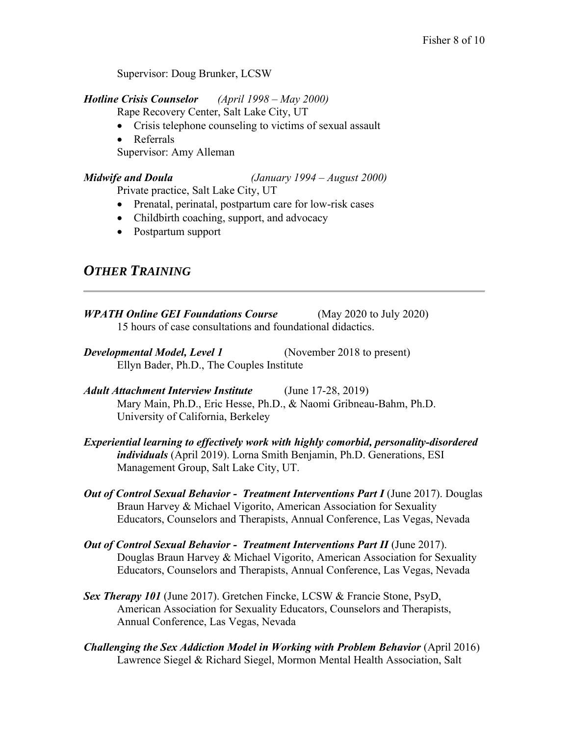Supervisor: Doug Brunker, LCSW

*Hotline Crisis Counselor (April 1998 – May 2000)*

Rape Recovery Center, Salt Lake City, UT

- Crisis telephone counseling to victims of sexual assault
- Referrals

Supervisor: Amy Alleman

*Midwife and Doula (January 1994 – August 2000)*

Private practice, Salt Lake City, UT

- Prenatal, perinatal, postpartum care for low-risk cases
- Childbirth coaching, support, and advocacy
- Postpartum support

# *OTHER TRAINING*

- *WPATH Online GEI Foundations Course* (May 2020 to July 2020) 15 hours of case consultations and foundational didactics.
- *Developmental Model, Level 1* (November 2018 to present) Ellyn Bader, Ph.D., The Couples Institute
- *Adult Attachment Interview Institute* (June 17-28, 2019) Mary Main, Ph.D., Eric Hesse, Ph.D., & Naomi Gribneau-Bahm, Ph.D. University of California, Berkeley
- *Experiential learning to effectively work with highly comorbid, personality-disordered individuals* (April 2019). Lorna Smith Benjamin, Ph.D. Generations, ESI Management Group, Salt Lake City, UT.
- *Out of Control Sexual Behavior Treatment Interventions Part I (June 2017). Douglas* Braun Harvey & Michael Vigorito, American Association for Sexuality Educators, Counselors and Therapists, Annual Conference, Las Vegas, Nevada
- *Out of Control Sexual Behavior Treatment Interventions Part II* (June 2017). Douglas Braun Harvey & Michael Vigorito, American Association for Sexuality Educators, Counselors and Therapists, Annual Conference, Las Vegas, Nevada
- *Sex Therapy 101* (June 2017). Gretchen Fincke, LCSW & Francie Stone, PsyD, American Association for Sexuality Educators, Counselors and Therapists, Annual Conference, Las Vegas, Nevada
- *Challenging the Sex Addiction Model in Working with Problem Behavior* (April 2016) Lawrence Siegel & Richard Siegel, Mormon Mental Health Association, Salt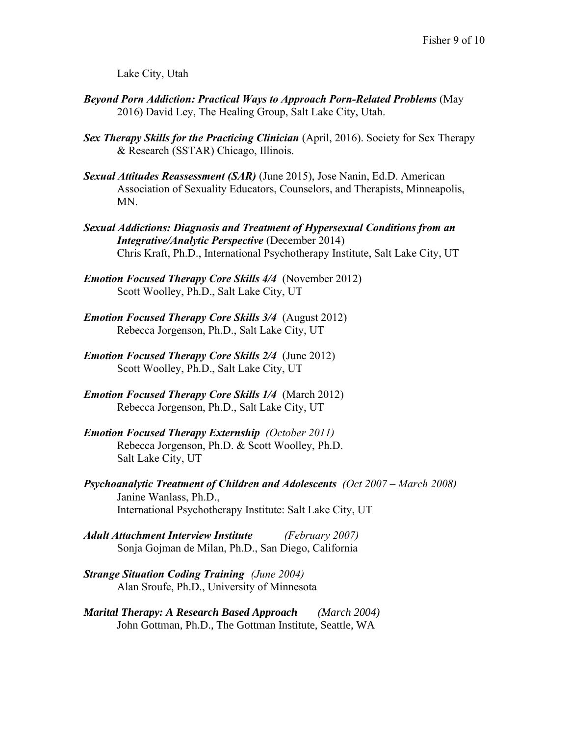Lake City, Utah

- *Beyond Porn Addiction: Practical Ways to Approach Porn-Related Problems (May* 2016) David Ley, The Healing Group, Salt Lake City, Utah.
- **Sex Therapy Skills for the Practicing Clinician** (April, 2016). Society for Sex Therapy & Research (SSTAR) Chicago, Illinois.
- *Sexual Attitudes Reassessment (SAR)* (June 2015), Jose Nanin, Ed.D. American Association of Sexuality Educators, Counselors, and Therapists, Minneapolis, MN.
- *Sexual Addictions: Diagnosis and Treatment of Hypersexual Conditions from an Integrative/Analytic Perspective* (December 2014) Chris Kraft, Ph.D., International Psychotherapy Institute, Salt Lake City, UT
- *Emotion Focused Therapy Core Skills 4/4* (November 2012) Scott Woolley, Ph.D., Salt Lake City, UT
- *Emotion Focused Therapy Core Skills 3/4* (August 2012) Rebecca Jorgenson, Ph.D., Salt Lake City, UT
- *Emotion Focused Therapy Core Skills 2/4* (June 2012) Scott Woolley, Ph.D., Salt Lake City, UT
- *Emotion Focused Therapy Core Skills 1/4* (March 2012) Rebecca Jorgenson, Ph.D., Salt Lake City, UT
- *Emotion Focused Therapy Externship (October 2011)* Rebecca Jorgenson, Ph.D. & Scott Woolley, Ph.D. Salt Lake City, UT
- *Psychoanalytic Treatment of Children and Adolescents (Oct 2007 – March 2008)* Janine Wanlass, Ph.D., International Psychotherapy Institute: Salt Lake City, UT
- *Adult Attachment Interview Institute (February 2007)* Sonja Gojman de Milan, Ph.D., San Diego, California
- *Strange Situation Coding Training (June 2004)*  Alan Sroufe, Ph.D., University of Minnesota
- *Marital Therapy: A Research Based Approach (March 2004)* John Gottman, Ph.D., The Gottman Institute, Seattle, WA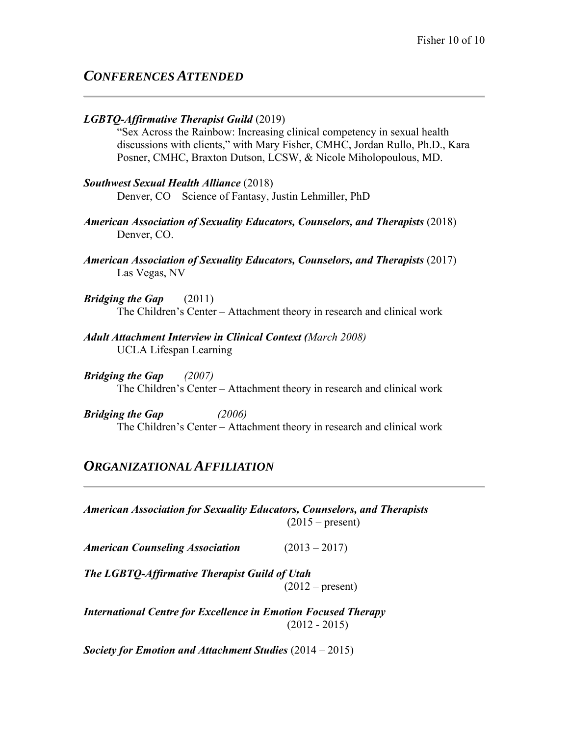# *CONFERENCES ATTENDED*

#### *LGBTQ-Affirmative Therapist Guild* (2019)

"Sex Across the Rainbow: Increasing clinical competency in sexual health discussions with clients," with Mary Fisher, CMHC, Jordan Rullo, Ph.D., Kara Posner, CMHC, Braxton Dutson, LCSW, & Nicole Miholopoulous, MD.

# *Southwest Sexual Health Alliance* (2018)

Denver, CO – Science of Fantasy, Justin Lehmiller, PhD

- *American Association of Sexuality Educators, Counselors, and Therapists* (2018) Denver, CO.
- *American Association of Sexuality Educators, Counselors, and Therapists* (2017) Las Vegas, NV
- *Bridging the Gap* (2011) The Children's Center – Attachment theory in research and clinical work
- *Adult Attachment Interview in Clinical Context (March 2008)* UCLA Lifespan Learning
- *Bridging the Gap (2007)* The Children's Center – Attachment theory in research and clinical work

*Bridging the Gap (2006)* The Children's Center – Attachment theory in research and clinical work

# *ORGANIZATIONAL AFFILIATION*

*American Association for Sexuality Educators, Counselors, and Therapists*  $(2015 - present)$ 

*American Counseling Association* (2013 – 2017)

*The LGBTQ-Affirmative Therapist Guild of Utah*  $(2012 - present)$ 

*International Centre for Excellence in Emotion Focused Therapy*  (2012 - 2015)

*Society for Emotion and Attachment Studies* (2014 – 2015)